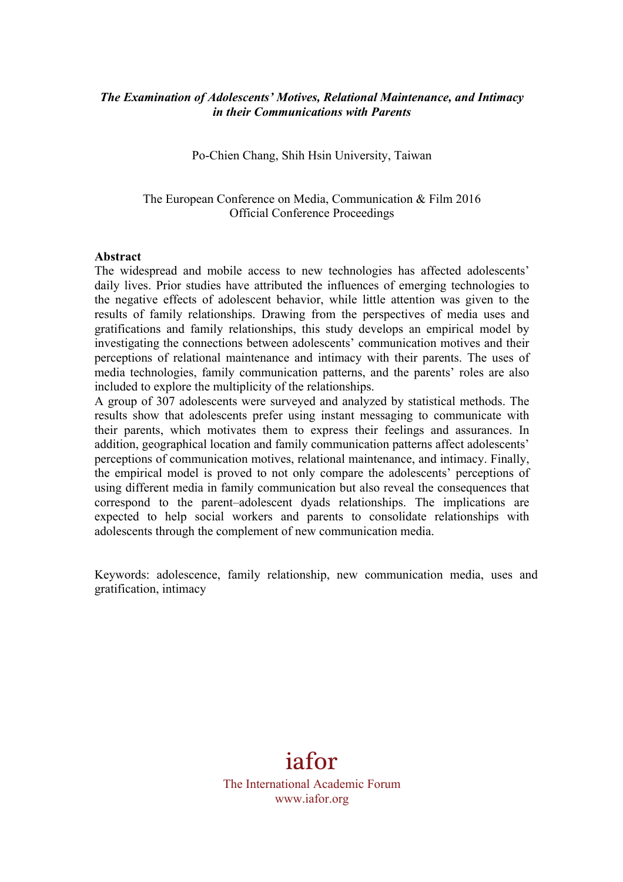## *The Examination of Adolescents' Motives, Relational Maintenance, and Intimacy in their Communications with Parents*

Po-Chien Chang, Shih Hsin University, Taiwan

The European Conference on Media, Communication & Film 2016 Official Conference Proceedings

#### **Abstract**

The widespread and mobile access to new technologies has affected adolescents' daily lives. Prior studies have attributed the influences of emerging technologies to the negative effects of adolescent behavior, while little attention was given to the results of family relationships. Drawing from the perspectives of media uses and gratifications and family relationships, this study develops an empirical model by investigating the connections between adolescents' communication motives and their perceptions of relational maintenance and intimacy with their parents. The uses of media technologies, family communication patterns, and the parents' roles are also included to explore the multiplicity of the relationships.

A group of 307 adolescents were surveyed and analyzed by statistical methods. The results show that adolescents prefer using instant messaging to communicate with their parents, which motivates them to express their feelings and assurances. In addition, geographical location and family communication patterns affect adolescents' perceptions of communication motives, relational maintenance, and intimacy. Finally, the empirical model is proved to not only compare the adolescents' perceptions of using different media in family communication but also reveal the consequences that correspond to the parent–adolescent dyads relationships. The implications are expected to help social workers and parents to consolidate relationships with adolescents through the complement of new communication media.

Keywords: adolescence, family relationship, new communication media, uses and gratification, intimacy

# iafor The International Academic Forum www.iafor.org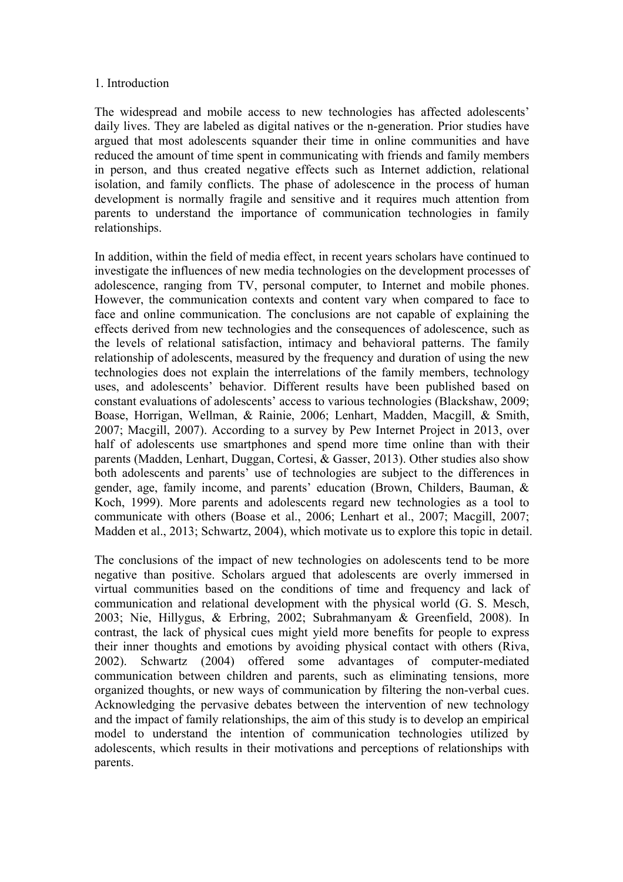#### 1. Introduction

The widespread and mobile access to new technologies has affected adolescents' daily lives. They are labeled as digital natives or the n-generation. Prior studies have argued that most adolescents squander their time in online communities and have reduced the amount of time spent in communicating with friends and family members in person, and thus created negative effects such as Internet addiction, relational isolation, and family conflicts. The phase of adolescence in the process of human development is normally fragile and sensitive and it requires much attention from parents to understand the importance of communication technologies in family relationships.

In addition, within the field of media effect, in recent years scholars have continued to investigate the influences of new media technologies on the development processes of adolescence, ranging from TV, personal computer, to Internet and mobile phones. However, the communication contexts and content vary when compared to face to face and online communication. The conclusions are not capable of explaining the effects derived from new technologies and the consequences of adolescence, such as the levels of relational satisfaction, intimacy and behavioral patterns. The family relationship of adolescents, measured by the frequency and duration of using the new technologies does not explain the interrelations of the family members, technology uses, and adolescents' behavior. Different results have been published based on constant evaluations of adolescents' access to various technologies (Blackshaw, 2009; Boase, Horrigan, Wellman, & Rainie, 2006; Lenhart, Madden, Macgill, & Smith, 2007; Macgill, 2007). According to a survey by Pew Internet Project in 2013, over half of adolescents use smartphones and spend more time online than with their parents (Madden, Lenhart, Duggan, Cortesi, & Gasser, 2013). Other studies also show both adolescents and parents' use of technologies are subject to the differences in gender, age, family income, and parents' education (Brown, Childers, Bauman, & Koch, 1999). More parents and adolescents regard new technologies as a tool to communicate with others (Boase et al., 2006; Lenhart et al., 2007; Macgill, 2007; Madden et al., 2013; Schwartz, 2004), which motivate us to explore this topic in detail.

The conclusions of the impact of new technologies on adolescents tend to be more negative than positive. Scholars argued that adolescents are overly immersed in virtual communities based on the conditions of time and frequency and lack of communication and relational development with the physical world (G. S. Mesch, 2003; Nie, Hillygus, & Erbring, 2002; Subrahmanyam & Greenfield, 2008). In contrast, the lack of physical cues might yield more benefits for people to express their inner thoughts and emotions by avoiding physical contact with others (Riva, 2002). Schwartz (2004) offered some advantages of computer-mediated communication between children and parents, such as eliminating tensions, more organized thoughts, or new ways of communication by filtering the non-verbal cues. Acknowledging the pervasive debates between the intervention of new technology and the impact of family relationships, the aim of this study is to develop an empirical model to understand the intention of communication technologies utilized by adolescents, which results in their motivations and perceptions of relationships with parents.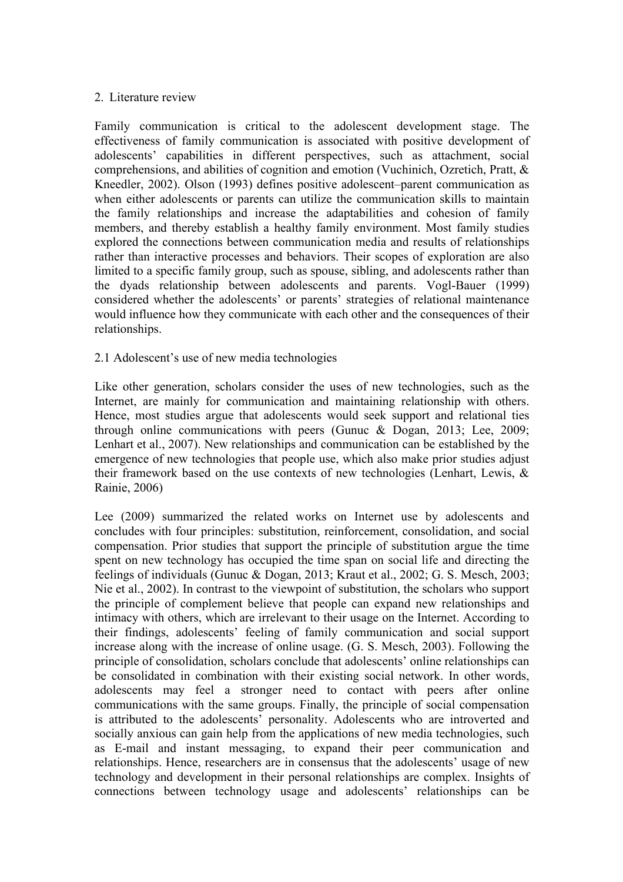#### 2. Literature review

Family communication is critical to the adolescent development stage. The effectiveness of family communication is associated with positive development of adolescents' capabilities in different perspectives, such as attachment, social comprehensions, and abilities of cognition and emotion (Vuchinich, Ozretich, Pratt, & Kneedler, 2002). Olson (1993) defines positive adolescent–parent communication as when either adolescents or parents can utilize the communication skills to maintain the family relationships and increase the adaptabilities and cohesion of family members, and thereby establish a healthy family environment. Most family studies explored the connections between communication media and results of relationships rather than interactive processes and behaviors. Their scopes of exploration are also limited to a specific family group, such as spouse, sibling, and adolescents rather than the dyads relationship between adolescents and parents. Vogl-Bauer (1999) considered whether the adolescents' or parents' strategies of relational maintenance would influence how they communicate with each other and the consequences of their relationships.

#### 2.1 Adolescent's use of new media technologies

Like other generation, scholars consider the uses of new technologies, such as the Internet, are mainly for communication and maintaining relationship with others. Hence, most studies argue that adolescents would seek support and relational ties through online communications with peers (Gunuc & Dogan, 2013; Lee, 2009; Lenhart et al., 2007). New relationships and communication can be established by the emergence of new technologies that people use, which also make prior studies adjust their framework based on the use contexts of new technologies (Lenhart, Lewis, & Rainie, 2006)

Lee (2009) summarized the related works on Internet use by adolescents and concludes with four principles: substitution, reinforcement, consolidation, and social compensation. Prior studies that support the principle of substitution argue the time spent on new technology has occupied the time span on social life and directing the feelings of individuals (Gunuc & Dogan, 2013; Kraut et al., 2002; G. S. Mesch, 2003; Nie et al., 2002). In contrast to the viewpoint of substitution, the scholars who support the principle of complement believe that people can expand new relationships and intimacy with others, which are irrelevant to their usage on the Internet. According to their findings, adolescents' feeling of family communication and social support increase along with the increase of online usage. (G. S. Mesch, 2003). Following the principle of consolidation, scholars conclude that adolescents' online relationships can be consolidated in combination with their existing social network. In other words, adolescents may feel a stronger need to contact with peers after online communications with the same groups. Finally, the principle of social compensation is attributed to the adolescents' personality. Adolescents who are introverted and socially anxious can gain help from the applications of new media technologies, such as E-mail and instant messaging, to expand their peer communication and relationships. Hence, researchers are in consensus that the adolescents' usage of new technology and development in their personal relationships are complex. Insights of connections between technology usage and adolescents' relationships can be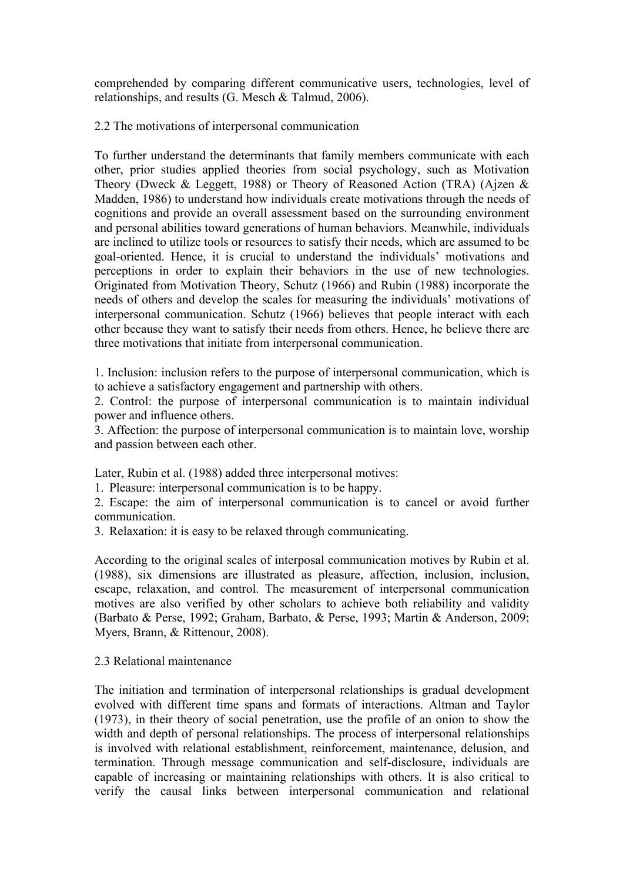comprehended by comparing different communicative users, technologies, level of relationships, and results (G. Mesch & Talmud, 2006).

2.2 The motivations of interpersonal communication

To further understand the determinants that family members communicate with each other, prior studies applied theories from social psychology, such as Motivation Theory (Dweck & Leggett, 1988) or Theory of Reasoned Action (TRA) (Ajzen & Madden, 1986) to understand how individuals create motivations through the needs of cognitions and provide an overall assessment based on the surrounding environment and personal abilities toward generations of human behaviors. Meanwhile, individuals are inclined to utilize tools or resources to satisfy their needs, which are assumed to be goal-oriented. Hence, it is crucial to understand the individuals' motivations and perceptions in order to explain their behaviors in the use of new technologies. Originated from Motivation Theory, Schutz (1966) and Rubin (1988) incorporate the needs of others and develop the scales for measuring the individuals' motivations of interpersonal communication. Schutz (1966) believes that people interact with each other because they want to satisfy their needs from others. Hence, he believe there are three motivations that initiate from interpersonal communication.

1. Inclusion: inclusion refers to the purpose of interpersonal communication, which is to achieve a satisfactory engagement and partnership with others.

2. Control: the purpose of interpersonal communication is to maintain individual power and influence others.

3. Affection: the purpose of interpersonal communication is to maintain love, worship and passion between each other.

Later, Rubin et al. (1988) added three interpersonal motives:

1. Pleasure: interpersonal communication is to be happy.

2. Escape: the aim of interpersonal communication is to cancel or avoid further communication.

3. Relaxation: it is easy to be relaxed through communicating.

According to the original scales of interposal communication motives by Rubin et al. (1988), six dimensions are illustrated as pleasure, affection, inclusion, inclusion, escape, relaxation, and control. The measurement of interpersonal communication motives are also verified by other scholars to achieve both reliability and validity (Barbato & Perse, 1992; Graham, Barbato, & Perse, 1993; Martin & Anderson, 2009; Myers, Brann, & Rittenour, 2008).

#### 2.3 Relational maintenance

The initiation and termination of interpersonal relationships is gradual development evolved with different time spans and formats of interactions. Altman and Taylor (1973), in their theory of social penetration, use the profile of an onion to show the width and depth of personal relationships. The process of interpersonal relationships is involved with relational establishment, reinforcement, maintenance, delusion, and termination. Through message communication and self-disclosure, individuals are capable of increasing or maintaining relationships with others. It is also critical to verify the causal links between interpersonal communication and relational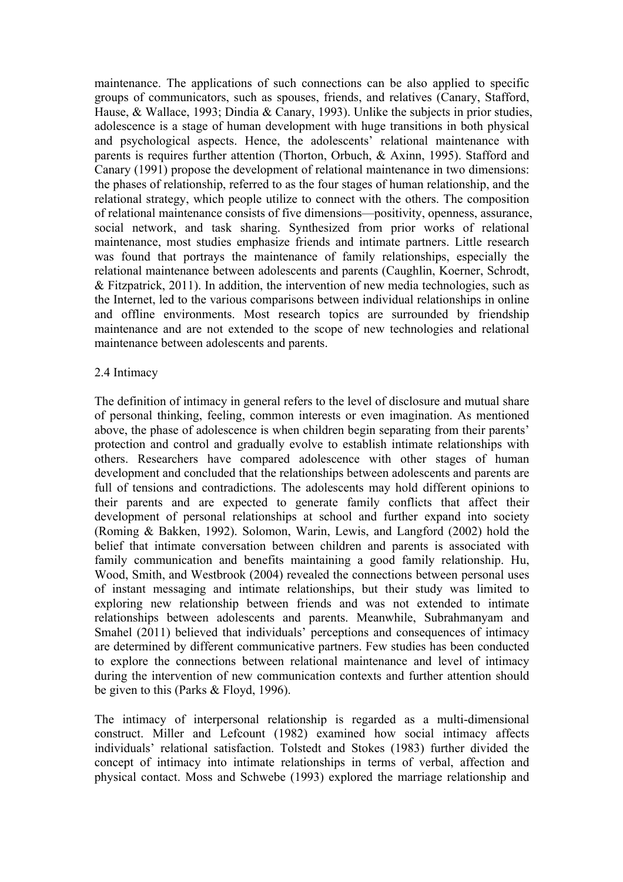maintenance. The applications of such connections can be also applied to specific groups of communicators, such as spouses, friends, and relatives (Canary, Stafford, Hause, & Wallace, 1993; Dindia & Canary, 1993). Unlike the subjects in prior studies, adolescence is a stage of human development with huge transitions in both physical and psychological aspects. Hence, the adolescents' relational maintenance with parents is requires further attention (Thorton, Orbuch, & Axinn, 1995). Stafford and Canary (1991) propose the development of relational maintenance in two dimensions: the phases of relationship, referred to as the four stages of human relationship, and the relational strategy, which people utilize to connect with the others. The composition of relational maintenance consists of five dimensions—positivity, openness, assurance, social network, and task sharing. Synthesized from prior works of relational maintenance, most studies emphasize friends and intimate partners. Little research was found that portrays the maintenance of family relationships, especially the relational maintenance between adolescents and parents (Caughlin, Koerner, Schrodt, & Fitzpatrick, 2011). In addition, the intervention of new media technologies, such as the Internet, led to the various comparisons between individual relationships in online and offline environments. Most research topics are surrounded by friendship maintenance and are not extended to the scope of new technologies and relational maintenance between adolescents and parents.

#### 2.4 Intimacy

The definition of intimacy in general refers to the level of disclosure and mutual share of personal thinking, feeling, common interests or even imagination. As mentioned above, the phase of adolescence is when children begin separating from their parents' protection and control and gradually evolve to establish intimate relationships with others. Researchers have compared adolescence with other stages of human development and concluded that the relationships between adolescents and parents are full of tensions and contradictions. The adolescents may hold different opinions to their parents and are expected to generate family conflicts that affect their development of personal relationships at school and further expand into society (Roming & Bakken, 1992). Solomon, Warin, Lewis, and Langford (2002) hold the belief that intimate conversation between children and parents is associated with family communication and benefits maintaining a good family relationship. Hu, Wood, Smith, and Westbrook (2004) revealed the connections between personal uses of instant messaging and intimate relationships, but their study was limited to exploring new relationship between friends and was not extended to intimate relationships between adolescents and parents. Meanwhile, Subrahmanyam and Smahel (2011) believed that individuals' perceptions and consequences of intimacy are determined by different communicative partners. Few studies has been conducted to explore the connections between relational maintenance and level of intimacy during the intervention of new communication contexts and further attention should be given to this (Parks & Floyd, 1996).

The intimacy of interpersonal relationship is regarded as a multi-dimensional construct. Miller and Lefcount (1982) examined how social intimacy affects individuals' relational satisfaction. Tolstedt and Stokes (1983) further divided the concept of intimacy into intimate relationships in terms of verbal, affection and physical contact. Moss and Schwebe (1993) explored the marriage relationship and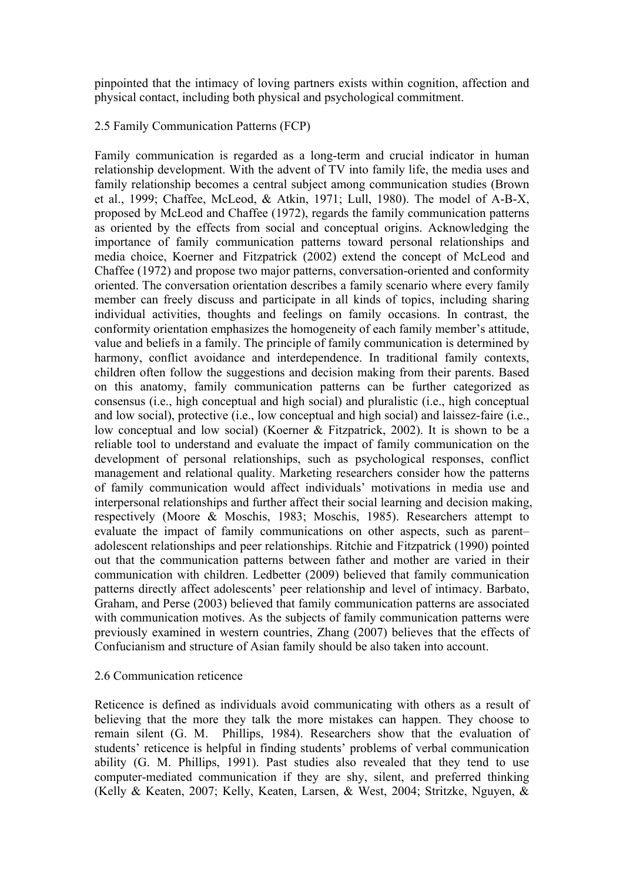pinpointed that the intimacy of loving partners exists within cognition, affection and physical contact, including both physical and psychological commitment.

## 2.5 Family Communication Patterns (FCP)

Family communication is regarded as a long-term and crucial indicator in human relationship development. With the advent of TV into family life, the media uses and family relationship becomes a central subject among communication studies (Brown et al., 1999; Chaffee, McLeod, & Atkin, 1971; Lull, 1980). The model of A-B-X, proposed by McLeod and Chaffee (1972), regards the family communication patterns as oriented by the effects from social and conceptual origins. Acknowledging the importance of family communication patterns toward personal relationships and media choice, Koerner and Fitzpatrick (2002) extend the concept of McLeod and Chaffee (1972) and propose two major patterns, conversation-oriented and conformity oriented. The conversation orientation describes a family scenario where every family member can freely discuss and participate in all kinds of topics, including sharing individual activities, thoughts and feelings on family occasions. In contrast, the conformity orientation emphasizes the homogeneity of each family member's attitude, value and beliefs in a family. The principle of family communication is determined by harmony, conflict avoidance and interdependence. In traditional family contexts, children often follow the suggestions and decision making from their parents. Based on this anatomy, family communication patterns can be further categorized as consensus (i.e., high conceptual and high social) and pluralistic (i.e., high conceptual and low social), protective (i.e., low conceptual and high social) and laissez-faire (i.e., low conceptual and low social) (Koerner & Fitzpatrick, 2002). It is shown to be a reliable tool to understand and evaluate the impact of family communication on the development of personal relationships, such as psychological responses, conflict management and relational quality. Marketing researchers consider how the patterns of family communication would affect individuals' motivations in media use and interpersonal relationships and further affect their social learning and decision making, respectively (Moore & Moschis, 1983; Moschis, 1985). Researchers attempt to evaluate the impact of family communications on other aspects, such as parent– adolescent relationships and peer relationships. Ritchie and Fitzpatrick (1990) pointed out that the communication patterns between father and mother are varied in their communication with children. Ledbetter (2009) believed that family communication patterns directly affect adolescents' peer relationship and level of intimacy. Barbato, Graham, and Perse (2003) believed that family communication patterns are associated with communication motives. As the subjects of family communication patterns were previously examined in western countries, Zhang (2007) believes that the effects of Confucianism and structure of Asian family should be also taken into account.

#### 2.6 Communication reticence

Reticence is defined as individuals avoid communicating with others as a result of believing that the more they talk the more mistakes can happen. They choose to remain silent (G. M. Phillips, 1984). Researchers show that the evaluation of students' reticence is helpful in finding students' problems of verbal communication ability (G. M. Phillips, 1991). Past studies also revealed that they tend to use computer-mediated communication if they are shy, silent, and preferred thinking (Kelly & Keaten, 2007; Kelly, Keaten, Larsen, & West, 2004; Stritzke, Nguyen, &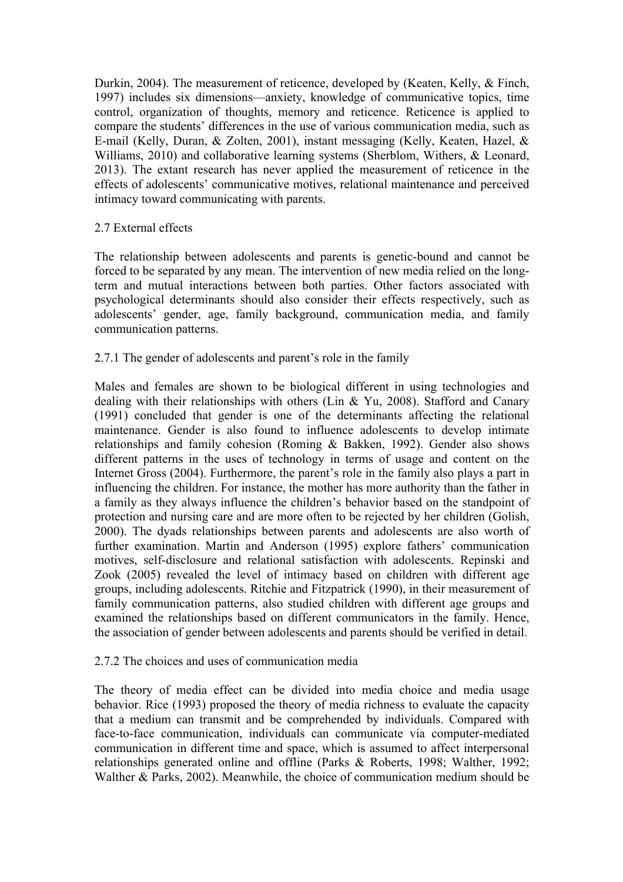Durkin, 2004). The measurement of reticence, developed by (Keaten, Kelly, & Finch, 1997) includes six dimensions—anxiety, knowledge of communicative topics, time control, organization of thoughts, memory and reticence. Reticence is applied to compare the students' differences in the use of various communication media, such as E-mail (Kelly, Duran, & Zolten, 2001), instant messaging (Kelly, Keaten, Hazel, & Williams, 2010) and collaborative learning systems (Sherblom, Withers, & Leonard, 2013). The extant research has never applied the measurement of reticence in the effects of adolescents' communicative motives, relational maintenance and perceived intimacy toward communicating with parents.

## 2.7 External effects

The relationship between adolescents and parents is genetic-bound and cannot be forced to be separated by any mean. The intervention of new media relied on the longterm and mutual interactions between both parties. Other factors associated with psychological determinants should also consider their effects respectively, such as adolescents' gender, age, family background, communication media, and family communication patterns.

#### 2.7.1 The gender of adolescents and parent's role in the family

Males and females are shown to be biological different in using technologies and dealing with their relationships with others (Lin & Yu, 2008). Stafford and Canary (1991) concluded that gender is one of the determinants affecting the relational maintenance. Gender is also found to influence adolescents to develop intimate relationships and family cohesion (Roming & Bakken, 1992). Gender also shows different patterns in the uses of technology in terms of usage and content on the Internet Gross (2004). Furthermore, the parent's role in the family also plays a part in influencing the children. For instance, the mother has more authority than the father in a family as they always influence the children's behavior based on the standpoint of protection and nursing care and are more often to be rejected by her children (Golish, 2000). The dyads relationships between parents and adolescents are also worth of further examination. Martin and Anderson (1995) explore fathers' communication motives, self-disclosure and relational satisfaction with adolescents. Repinski and Zook (2005) revealed the level of intimacy based on children with different age groups, including adolescents. Ritchie and Fitzpatrick (1990), in their measurement of family communication patterns, also studied children with different age groups and examined the relationships based on different communicators in the family. Hence, the association of gender between adolescents and parents should be verified in detail.

#### 2.7.2 The choices and uses of communication media

The theory of media effect can be divided into media choice and media usage behavior. Rice (1993) proposed the theory of media richness to evaluate the capacity that a medium can transmit and be comprehended by individuals. Compared with face-to-face communication, individuals can communicate via computer-mediated communication in different time and space, which is assumed to affect interpersonal relationships generated online and offline (Parks & Roberts, 1998; Walther, 1992; Walther & Parks, 2002). Meanwhile, the choice of communication medium should be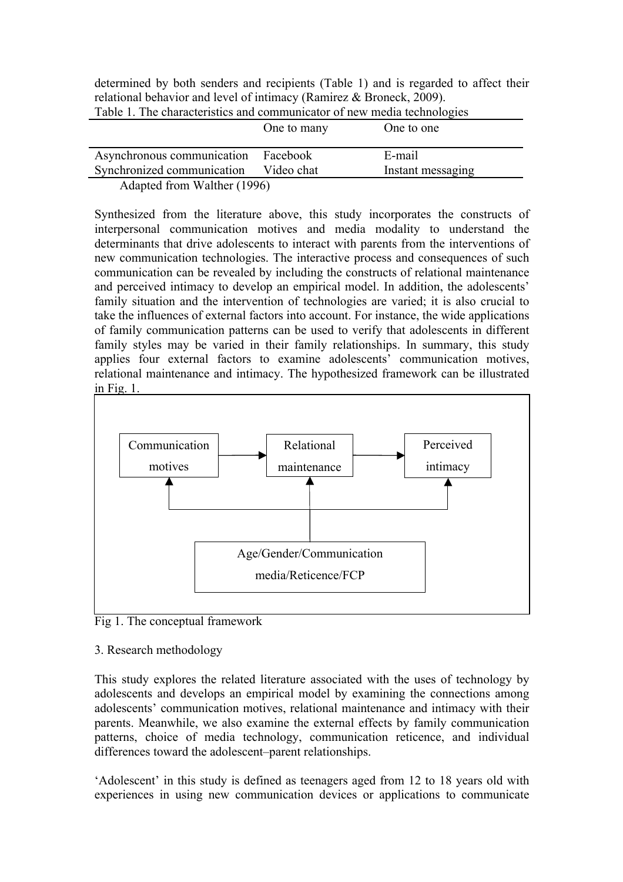| determined by both senders and recipients (Table 1) and is regarded to affect their |  |
|-------------------------------------------------------------------------------------|--|
| relational behavior and level of intimacy (Ramirez & Broneck, 2009).                |  |

| Twore 1. The enargements and communicated of new means technologies                                                                                                                                                                                                                                                                                                                           |             |                   |  |  |  |
|-----------------------------------------------------------------------------------------------------------------------------------------------------------------------------------------------------------------------------------------------------------------------------------------------------------------------------------------------------------------------------------------------|-------------|-------------------|--|--|--|
|                                                                                                                                                                                                                                                                                                                                                                                               | One to many | One to one        |  |  |  |
| Asynchronous communication                                                                                                                                                                                                                                                                                                                                                                    | Facebook    | E-mail            |  |  |  |
| Synchronized communication                                                                                                                                                                                                                                                                                                                                                                    | Video chat  | Instant messaging |  |  |  |
| $\lambda$ 1 $\lambda$ 1 $\lambda$ 1 $\lambda$ 1 $\lambda$ 1 $\lambda$ 1 $\lambda$ 1 $\lambda$ 1 $\lambda$ 1 $\lambda$ 1 $\lambda$ 1 $\lambda$ 1 $\lambda$ 1 $\lambda$ 1 $\lambda$ 1 $\lambda$ 1 $\lambda$ 1 $\lambda$ 1 $\lambda$ 1 $\lambda$ 1 $\lambda$ 1 $\lambda$ 1 $\lambda$ 1 $\lambda$ 1 $\lambda$ 1 $\lambda$ 1 $\lambda$ 1 $\lambda$ 1 $\lambda$ 1 $\lambda$ 1 $\lambda$ 1 $\lambda$ |             |                   |  |  |  |

Table 1. The characteristics and communicator of new media technologies

Adapted from Walther (1996)

Synthesized from the literature above, this study incorporates the constructs of interpersonal communication motives and media modality to understand the determinants that drive adolescents to interact with parents from the interventions of new communication technologies. The interactive process and consequences of such communication can be revealed by including the constructs of relational maintenance and perceived intimacy to develop an empirical model. In addition, the adolescents' family situation and the intervention of technologies are varied; it is also crucial to take the influences of external factors into account. For instance, the wide applications of family communication patterns can be used to verify that adolescents in different family styles may be varied in their family relationships. In summary, this study applies four external factors to examine adolescents' communication motives, relational maintenance and intimacy. The hypothesized framework can be illustrated in Fig. 1.



Fig 1. The conceptual framework

# 3. Research methodology

This study explores the related literature associated with the uses of technology by adolescents and develops an empirical model by examining the connections among adolescents' communication motives, relational maintenance and intimacy with their parents. Meanwhile, we also examine the external effects by family communication patterns, choice of media technology, communication reticence, and individual differences toward the adolescent–parent relationships.

'Adolescent' in this study is defined as teenagers aged from 12 to 18 years old with experiences in using new communication devices or applications to communicate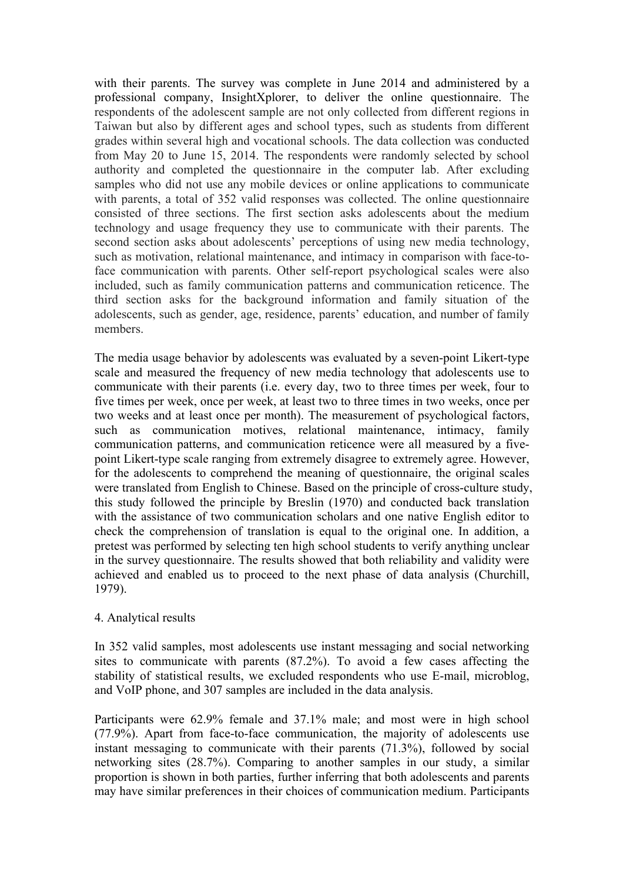with their parents. The survey was complete in June 2014 and administered by a professional company, InsightXplorer, to deliver the online questionnaire. The respondents of the adolescent sample are not only collected from different regions in Taiwan but also by different ages and school types, such as students from different grades within several high and vocational schools. The data collection was conducted from May 20 to June 15, 2014. The respondents were randomly selected by school authority and completed the questionnaire in the computer lab. After excluding samples who did not use any mobile devices or online applications to communicate with parents, a total of 352 valid responses was collected. The online questionnaire consisted of three sections. The first section asks adolescents about the medium technology and usage frequency they use to communicate with their parents. The second section asks about adolescents' perceptions of using new media technology, such as motivation, relational maintenance, and intimacy in comparison with face-toface communication with parents. Other self-report psychological scales were also included, such as family communication patterns and communication reticence. The third section asks for the background information and family situation of the adolescents, such as gender, age, residence, parents' education, and number of family members.

The media usage behavior by adolescents was evaluated by a seven-point Likert-type scale and measured the frequency of new media technology that adolescents use to communicate with their parents (i.e. every day, two to three times per week, four to five times per week, once per week, at least two to three times in two weeks, once per two weeks and at least once per month). The measurement of psychological factors, such as communication motives, relational maintenance, intimacy, family communication patterns, and communication reticence were all measured by a fivepoint Likert-type scale ranging from extremely disagree to extremely agree. However, for the adolescents to comprehend the meaning of questionnaire, the original scales were translated from English to Chinese. Based on the principle of cross-culture study, this study followed the principle by Breslin (1970) and conducted back translation with the assistance of two communication scholars and one native English editor to check the comprehension of translation is equal to the original one. In addition, a pretest was performed by selecting ten high school students to verify anything unclear in the survey questionnaire. The results showed that both reliability and validity were achieved and enabled us to proceed to the next phase of data analysis (Churchill, 1979).

#### 4. Analytical results

In 352 valid samples, most adolescents use instant messaging and social networking sites to communicate with parents (87.2%). To avoid a few cases affecting the stability of statistical results, we excluded respondents who use E-mail, microblog, and VoIP phone, and 307 samples are included in the data analysis.

Participants were 62.9% female and 37.1% male; and most were in high school (77.9%). Apart from face-to-face communication, the majority of adolescents use instant messaging to communicate with their parents (71.3%), followed by social networking sites (28.7%). Comparing to another samples in our study, a similar proportion is shown in both parties, further inferring that both adolescents and parents may have similar preferences in their choices of communication medium. Participants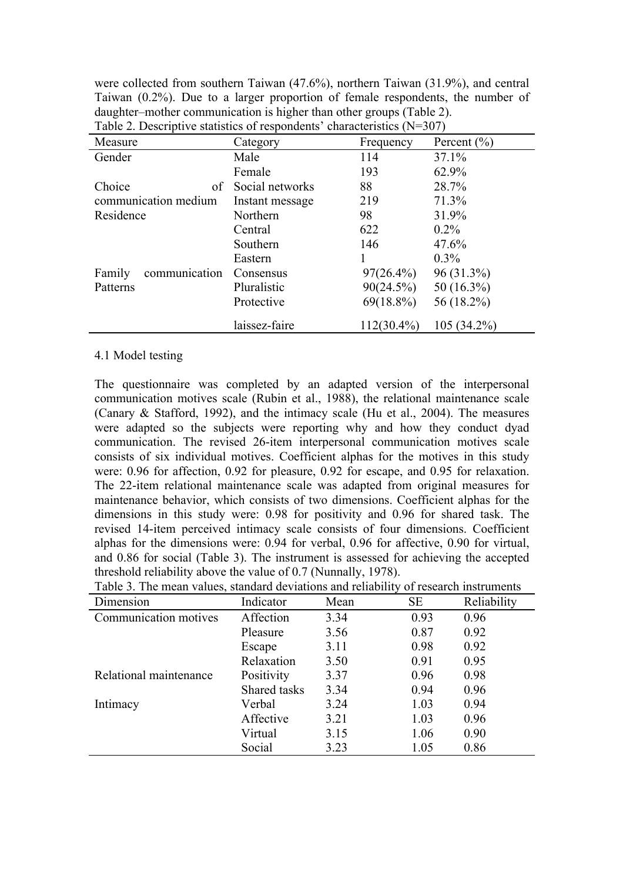were collected from southern Taiwan (47.6%), northern Taiwan (31.9%), and central Taiwan (0.2%). Due to a larger proportion of female respondents, the number of daughter–mother communication is higher than other groups (Table 2). Table 2. Descriptive statistics of respondents' characteristics  $(N=307)$ 

| $\frac{1}{2}$ and $\frac{1}{2}$ . Belonging communities of responses that we construct $\frac{1}{2}$ .<br>Measure | Category        | Frequency     | Percent $(\% )$ |
|-------------------------------------------------------------------------------------------------------------------|-----------------|---------------|-----------------|
| Gender                                                                                                            | Male            | 114           | 37.1%           |
|                                                                                                                   | Female          | 193           | 62.9%           |
| Choice<br>of                                                                                                      | Social networks | 88            | 28.7%           |
| communication medium                                                                                              | Instant message | 219           | 71.3%           |
| Residence                                                                                                         | Northern        | 98            | 31.9%           |
|                                                                                                                   | Central         | 622           | $0.2\%$         |
|                                                                                                                   | Southern        | 146           | 47.6%           |
|                                                                                                                   | Eastern         |               | $0.3\%$         |
| Family<br>communication                                                                                           | Consensus       | $97(26.4\%)$  | 96 (31.3%)      |
| Patterns                                                                                                          | Pluralistic     | 90(24.5%)     | 50 $(16.3\%)$   |
|                                                                                                                   | Protective      | $69(18.8\%)$  | 56 (18.2%)      |
|                                                                                                                   | laissez-faire   | $112(30.4\%)$ | $105(34.2\%)$   |

#### 4.1 Model testing

The questionnaire was completed by an adapted version of the interpersonal communication motives scale (Rubin et al., 1988), the relational maintenance scale (Canary & Stafford, 1992), and the intimacy scale (Hu et al., 2004). The measures were adapted so the subjects were reporting why and how they conduct dyad communication. The revised 26-item interpersonal communication motives scale consists of six individual motives. Coefficient alphas for the motives in this study were: 0.96 for affection, 0.92 for pleasure, 0.92 for escape, and 0.95 for relaxation. The 22-item relational maintenance scale was adapted from original measures for maintenance behavior, which consists of two dimensions. Coefficient alphas for the dimensions in this study were: 0.98 for positivity and 0.96 for shared task. The revised 14-item perceived intimacy scale consists of four dimensions. Coefficient alphas for the dimensions were: 0.94 for verbal, 0.96 for affective, 0.90 for virtual, and 0.86 for social (Table 3). The instrument is assessed for achieving the accepted threshold reliability above the value of 0.7 (Nunnally, 1978). Table 3. The mean values, standard deviations and reliability of research instruments

| Table 5. The mean values, standard deviations and renablity of research mistruments |              |      |      |             |  |  |
|-------------------------------------------------------------------------------------|--------------|------|------|-------------|--|--|
| Dimension                                                                           | Indicator    | Mean | SE   | Reliability |  |  |
| Communication motives                                                               | Affection    | 3.34 | 0.93 | 0.96        |  |  |
|                                                                                     | Pleasure     | 3.56 | 0.87 | 0.92        |  |  |
|                                                                                     | Escape       | 3.11 | 0.98 | 0.92        |  |  |
|                                                                                     | Relaxation   | 3.50 | 0.91 | 0.95        |  |  |
| Relational maintenance                                                              | Positivity   | 3.37 | 0.96 | 0.98        |  |  |
|                                                                                     | Shared tasks | 3.34 | 0.94 | 0.96        |  |  |
| Intimacy                                                                            | Verbal       | 3.24 | 1.03 | 0.94        |  |  |
|                                                                                     | Affective    | 3.21 | 1.03 | 0.96        |  |  |
|                                                                                     | Virtual      | 3.15 | 1.06 | 0.90        |  |  |
|                                                                                     | Social       | 3.23 | 1.05 | 0.86        |  |  |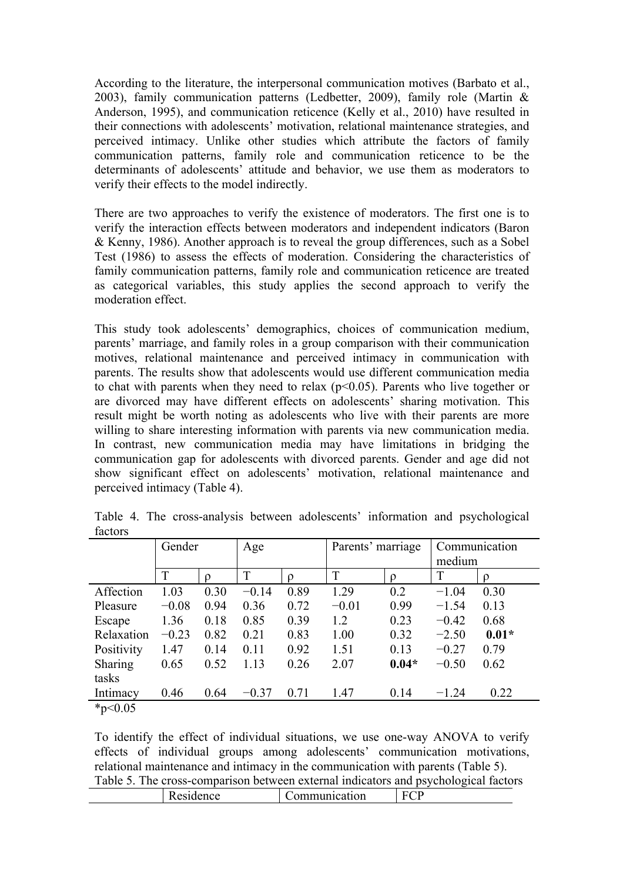According to the literature, the interpersonal communication motives (Barbato et al., 2003), family communication patterns (Ledbetter, 2009), family role (Martin & Anderson, 1995), and communication reticence (Kelly et al., 2010) have resulted in their connections with adolescents' motivation, relational maintenance strategies, and perceived intimacy. Unlike other studies which attribute the factors of family communication patterns, family role and communication reticence to be the determinants of adolescents' attitude and behavior, we use them as moderators to verify their effects to the model indirectly.

There are two approaches to verify the existence of moderators. The first one is to verify the interaction effects between moderators and independent indicators (Baron & Kenny, 1986). Another approach is to reveal the group differences, such as a Sobel Test (1986) to assess the effects of moderation. Considering the characteristics of family communication patterns, family role and communication reticence are treated as categorical variables, this study applies the second approach to verify the moderation effect.

This study took adolescents' demographics, choices of communication medium, parents' marriage, and family roles in a group comparison with their communication motives, relational maintenance and perceived intimacy in communication with parents. The results show that adolescents would use different communication media to chat with parents when they need to relax  $(p<0.05)$ . Parents who live together or are divorced may have different effects on adolescents' sharing motivation. This result might be worth noting as adolescents who live with their parents are more willing to share interesting information with parents via new communication media. In contrast, new communication media may have limitations in bridging the communication gap for adolescents with divorced parents. Gender and age did not show significant effect on adolescents' motivation, relational maintenance and perceived intimacy (Table 4).

|                                        | Gender  |          | Age     |      | Parents' marriage |          | Communication |         |
|----------------------------------------|---------|----------|---------|------|-------------------|----------|---------------|---------|
|                                        |         |          |         |      |                   |          | medium        |         |
|                                        | T       | $\Omega$ | T       |      | T                 | $\Omega$ | T             | O       |
| Affection                              | 1.03    | 0.30     | $-0.14$ | 0.89 | 1.29              | 0.2      | $-1.04$       | 0.30    |
| Pleasure                               | $-0.08$ | 0.94     | 0.36    | 0.72 | $-0.01$           | 0.99     | $-1.54$       | 0.13    |
| Escape                                 | 1.36    | 0.18     | 0.85    | 0.39 | 1.2               | 0.23     | $-0.42$       | 0.68    |
| Relaxation                             | $-0.23$ | 0.82     | 0.21    | 0.83 | 1.00              | 0.32     | $-2.50$       | $0.01*$ |
| Positivity                             | 1.47    | 0.14     | 0.11    | 0.92 | 1.51              | 0.13     | $-0.27$       | 0.79    |
| Sharing                                | 0.65    | 0.52     | 1.13    | 0.26 | 2.07              | $0.04*$  | $-0.50$       | 0.62    |
| tasks                                  |         |          |         |      |                   |          |               |         |
| Intimacy                               | 0.46    | 0.64     | $-0.37$ | 0.71 | 1.47              | 0.14     | $-1.24$       | 0.22    |
| $\mathbf{a}$ $\mathbf{b}$ $\mathbf{c}$ |         |          |         |      |                   |          |               |         |

Table 4. The cross-analysis between adolescents' information and psychological factors

 $*_{p<0.05}$ 

To identify the effect of individual situations, we use one-way ANOVA to verify effects of individual groups among adolescents' communication motivations, relational maintenance and intimacy in the communication with parents (Table 5). Table 5. The cross-comparison between external indicators and psychological factors Residence Communication FCP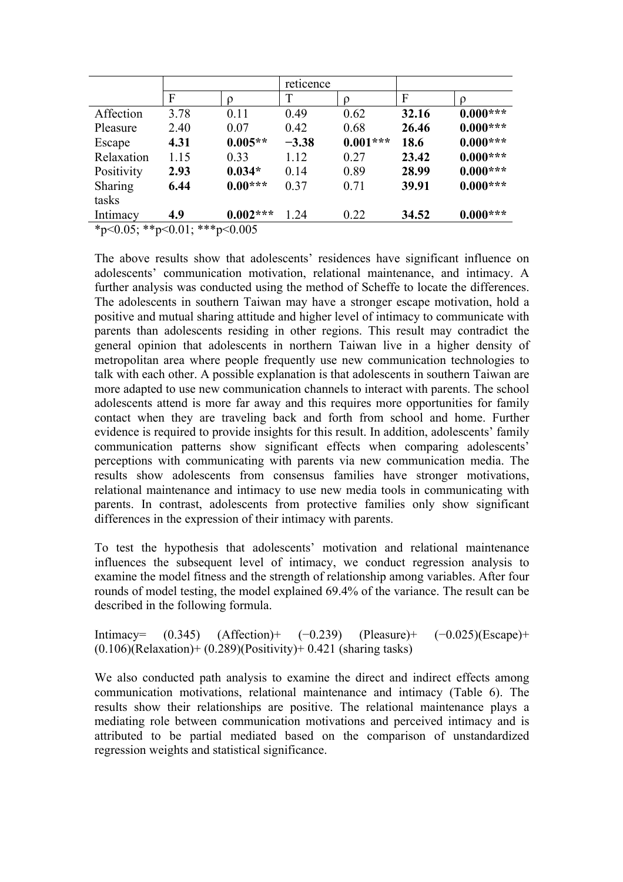|                               |      |            | reticence |            |       |            |
|-------------------------------|------|------------|-----------|------------|-------|------------|
|                               | F    |            | T         |            | F     | 0          |
| Affection                     | 3.78 | 0.11       | 0.49      | 0.62       | 32.16 | $0.000***$ |
| Pleasure                      | 2.40 | 0.07       | 0.42      | 0.68       | 26.46 | $0.000***$ |
| Escape                        | 4.31 | $0.005**$  | $-3.38$   | $0.001***$ | 18.6  | $0.000***$ |
| Relaxation                    | 1.15 | 0.33       | 1.12      | 0.27       | 23.42 | $0.000***$ |
| Positivity                    | 2.93 | $0.034*$   | 0.14      | 0.89       | 28.99 | $0.000***$ |
| Sharing                       | 6.44 | $0.00***$  | 0.37      | 0.71       | 39.91 | $0.000***$ |
| tasks                         |      |            |           |            |       |            |
| Intimacy                      | 4.9  | $0.002***$ | 1.24      | 0.22       | 34.52 | $0.000***$ |
| *p<0.05; **p<0.01; ***p<0.005 |      |            |           |            |       |            |

The above results show that adolescents' residences have significant influence on adolescents' communication motivation, relational maintenance, and intimacy. A further analysis was conducted using the method of Scheffe to locate the differences. The adolescents in southern Taiwan may have a stronger escape motivation, hold a positive and mutual sharing attitude and higher level of intimacy to communicate with parents than adolescents residing in other regions. This result may contradict the general opinion that adolescents in northern Taiwan live in a higher density of metropolitan area where people frequently use new communication technologies to talk with each other. A possible explanation is that adolescents in southern Taiwan are more adapted to use new communication channels to interact with parents. The school adolescents attend is more far away and this requires more opportunities for family contact when they are traveling back and forth from school and home. Further evidence is required to provide insights for this result. In addition, adolescents' family communication patterns show significant effects when comparing adolescents' perceptions with communicating with parents via new communication media. The results show adolescents from consensus families have stronger motivations, relational maintenance and intimacy to use new media tools in communicating with parents. In contrast, adolescents from protective families only show significant differences in the expression of their intimacy with parents.

To test the hypothesis that adolescents' motivation and relational maintenance influences the subsequent level of intimacy, we conduct regression analysis to examine the model fitness and the strength of relationship among variables. After four rounds of model testing, the model explained 69.4% of the variance. The result can be described in the following formula.

Intimacy= (0.345) (Affection)+ (−0.239) (Pleasure)+ (−0.025)(Escape)+  $(0.106)$ (Relaxation)+  $(0.289)$ (Positivity)+ 0.421 (sharing tasks)

We also conducted path analysis to examine the direct and indirect effects among communication motivations, relational maintenance and intimacy (Table 6). The results show their relationships are positive. The relational maintenance plays a mediating role between communication motivations and perceived intimacy and is attributed to be partial mediated based on the comparison of unstandardized regression weights and statistical significance.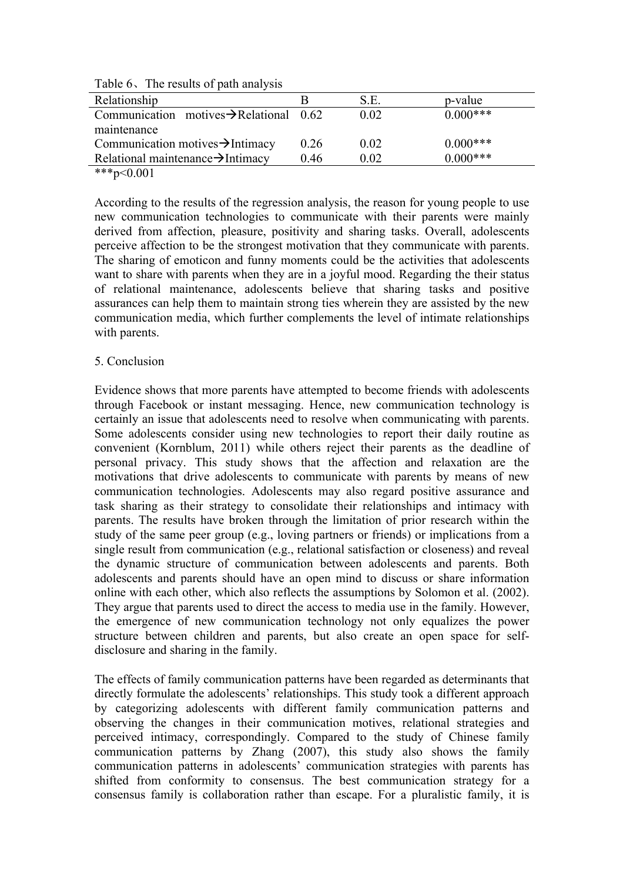| Table on the results of path and gold               |      |      |             |  |  |  |
|-----------------------------------------------------|------|------|-------------|--|--|--|
| Relationship                                        |      | S.E. | p-value     |  |  |  |
| Communication motives $\rightarrow$ Relational 0.62 |      | 0.02 | $0.000***$  |  |  |  |
| maintenance                                         |      |      |             |  |  |  |
| Communication motives $\rightarrow$ Intimacy        | 0.26 | 0.02 | $0.000$ *** |  |  |  |
| Relational maintenance $\rightarrow$ Intimacy       | 0.46 | 0.02 | $0.000***$  |  |  |  |
| $\Delta$                                            |      |      |             |  |  |  |

Table 6、The results of path analysis

\*\*\*p< $0.001$ 

According to the results of the regression analysis, the reason for young people to use new communication technologies to communicate with their parents were mainly derived from affection, pleasure, positivity and sharing tasks. Overall, adolescents perceive affection to be the strongest motivation that they communicate with parents. The sharing of emoticon and funny moments could be the activities that adolescents want to share with parents when they are in a joyful mood. Regarding the their status of relational maintenance, adolescents believe that sharing tasks and positive assurances can help them to maintain strong ties wherein they are assisted by the new communication media, which further complements the level of intimate relationships with parents.

#### 5. Conclusion

Evidence shows that more parents have attempted to become friends with adolescents through Facebook or instant messaging. Hence, new communication technology is certainly an issue that adolescents need to resolve when communicating with parents. Some adolescents consider using new technologies to report their daily routine as convenient (Kornblum, 2011) while others reject their parents as the deadline of personal privacy. This study shows that the affection and relaxation are the motivations that drive adolescents to communicate with parents by means of new communication technologies. Adolescents may also regard positive assurance and task sharing as their strategy to consolidate their relationships and intimacy with parents. The results have broken through the limitation of prior research within the study of the same peer group (e.g., loving partners or friends) or implications from a single result from communication (e.g., relational satisfaction or closeness) and reveal the dynamic structure of communication between adolescents and parents. Both adolescents and parents should have an open mind to discuss or share information online with each other, which also reflects the assumptions by Solomon et al. (2002). They argue that parents used to direct the access to media use in the family. However, the emergence of new communication technology not only equalizes the power structure between children and parents, but also create an open space for selfdisclosure and sharing in the family.

The effects of family communication patterns have been regarded as determinants that directly formulate the adolescents' relationships. This study took a different approach by categorizing adolescents with different family communication patterns and observing the changes in their communication motives, relational strategies and perceived intimacy, correspondingly. Compared to the study of Chinese family communication patterns by Zhang (2007), this study also shows the family communication patterns in adolescents' communication strategies with parents has shifted from conformity to consensus. The best communication strategy for a consensus family is collaboration rather than escape. For a pluralistic family, it is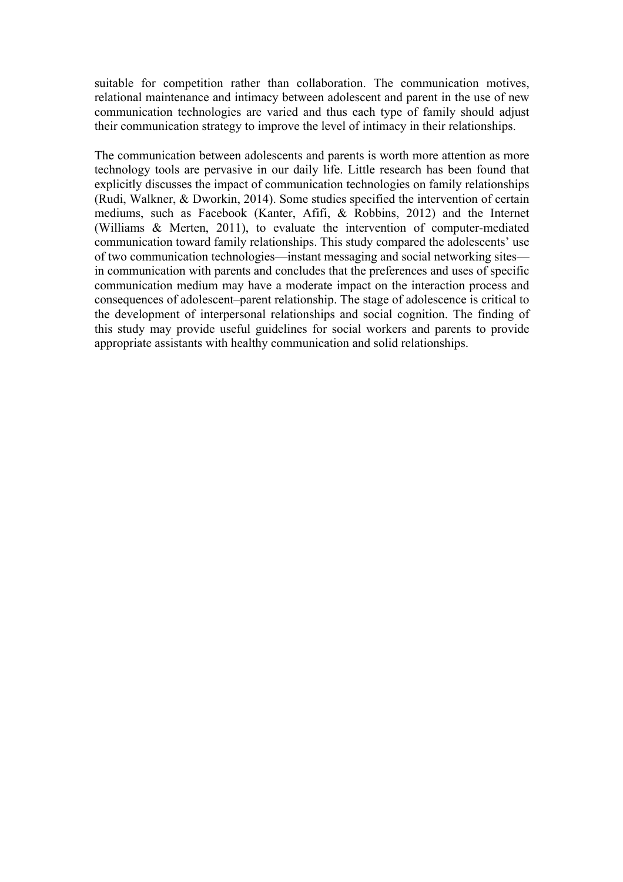suitable for competition rather than collaboration. The communication motives, relational maintenance and intimacy between adolescent and parent in the use of new communication technologies are varied and thus each type of family should adjust their communication strategy to improve the level of intimacy in their relationships.

The communication between adolescents and parents is worth more attention as more technology tools are pervasive in our daily life. Little research has been found that explicitly discusses the impact of communication technologies on family relationships (Rudi, Walkner, & Dworkin, 2014). Some studies specified the intervention of certain mediums, such as Facebook (Kanter, Afifi, & Robbins, 2012) and the Internet (Williams & Merten, 2011), to evaluate the intervention of computer-mediated communication toward family relationships. This study compared the adolescents' use of two communication technologies—instant messaging and social networking sites in communication with parents and concludes that the preferences and uses of specific communication medium may have a moderate impact on the interaction process and consequences of adolescent–parent relationship. The stage of adolescence is critical to the development of interpersonal relationships and social cognition. The finding of this study may provide useful guidelines for social workers and parents to provide appropriate assistants with healthy communication and solid relationships.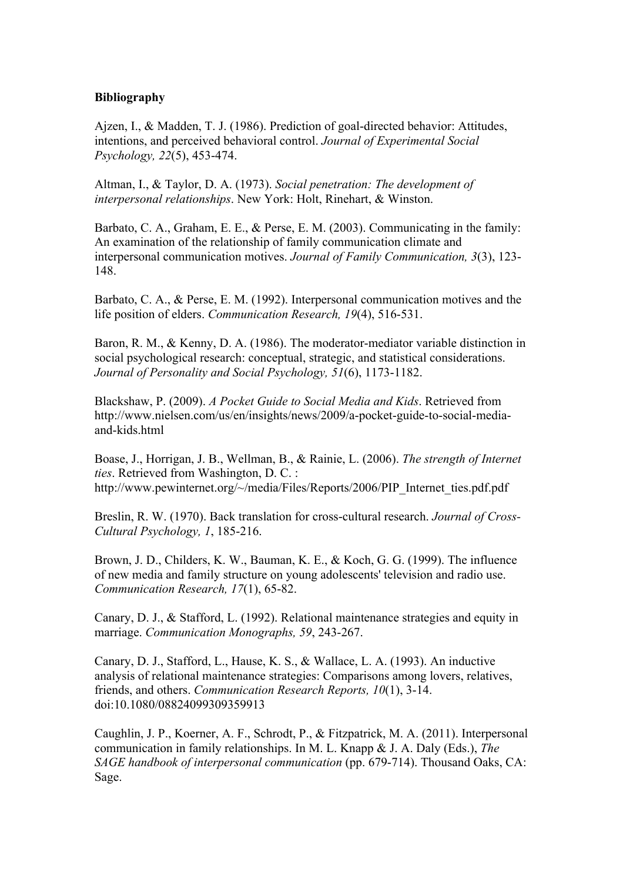#### **Bibliography**

Ajzen, I., & Madden, T. J. (1986). Prediction of goal-directed behavior: Attitudes, intentions, and perceived behavioral control. *Journal of Experimental Social Psychology, 22*(5), 453-474.

Altman, I., & Taylor, D. A. (1973). *Social penetration: The development of interpersonal relationships*. New York: Holt, Rinehart, & Winston.

Barbato, C. A., Graham, E. E., & Perse, E. M. (2003). Communicating in the family: An examination of the relationship of family communication climate and interpersonal communication motives. *Journal of Family Communication, 3*(3), 123- 148.

Barbato, C. A., & Perse, E. M. (1992). Interpersonal communication motives and the life position of elders. *Communication Research, 19*(4), 516-531.

Baron, R. M., & Kenny, D. A. (1986). The moderator-mediator variable distinction in social psychological research: conceptual, strategic, and statistical considerations. *Journal of Personality and Social Psychology, 51*(6), 1173-1182.

Blackshaw, P. (2009). *A Pocket Guide to Social Media and Kids*. Retrieved from http://www.nielsen.com/us/en/insights/news/2009/a-pocket-guide-to-social-mediaand-kids.html

Boase, J., Horrigan, J. B., Wellman, B., & Rainie, L. (2006). *The strength of Internet ties*. Retrieved from Washington, D. C. : http://www.pewinternet.org/~/media/Files/Reports/2006/PIP\_Internet\_ties.pdf.pdf

Breslin, R. W. (1970). Back translation for cross-cultural research. *Journal of Cross-Cultural Psychology, 1*, 185-216.

Brown, J. D., Childers, K. W., Bauman, K. E., & Koch, G. G. (1999). The influence of new media and family structure on young adolescents' television and radio use. *Communication Research, 17*(1), 65-82.

Canary, D. J., & Stafford, L. (1992). Relational maintenance strategies and equity in marriage. *Communication Monographs, 59*, 243-267.

Canary, D. J., Stafford, L., Hause, K. S., & Wallace, L. A. (1993). An inductive analysis of relational maintenance strategies: Comparisons among lovers, relatives, friends, and others. *Communication Research Reports, 10*(1), 3-14. doi:10.1080/08824099309359913

Caughlin, J. P., Koerner, A. F., Schrodt, P., & Fitzpatrick, M. A. (2011). Interpersonal communication in family relationships. In M. L. Knapp & J. A. Daly (Eds.), *The SAGE handbook of interpersonal communication* (pp. 679-714). Thousand Oaks, CA: Sage.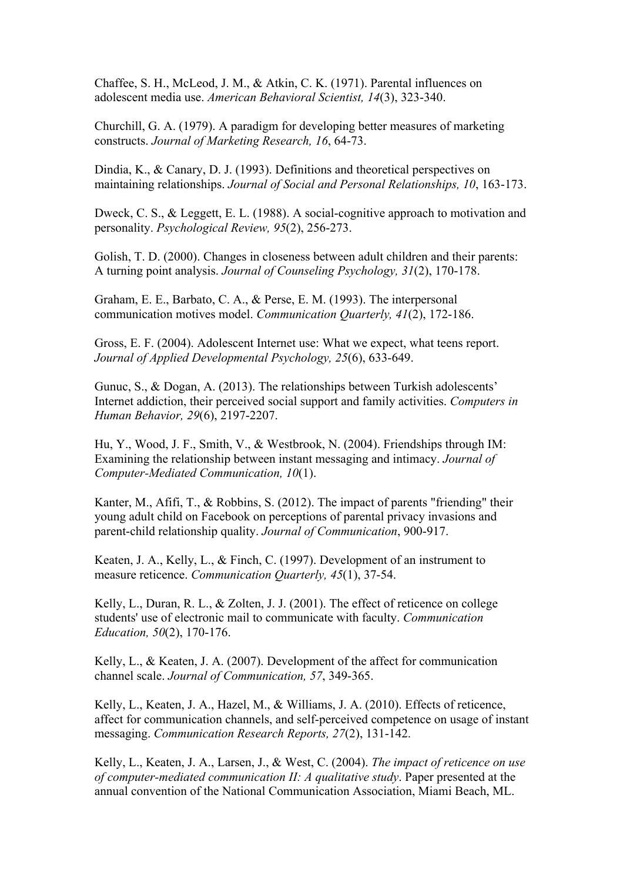Chaffee, S. H., McLeod, J. M., & Atkin, C. K. (1971). Parental influences on adolescent media use. *American Behavioral Scientist, 14*(3), 323-340.

Churchill, G. A. (1979). A paradigm for developing better measures of marketing constructs. *Journal of Marketing Research, 16*, 64-73.

Dindia, K., & Canary, D. J. (1993). Definitions and theoretical perspectives on maintaining relationships. *Journal of Social and Personal Relationships, 10*, 163-173.

Dweck, C. S., & Leggett, E. L. (1988). A social-cognitive approach to motivation and personality. *Psychological Review, 95*(2), 256-273.

Golish, T. D. (2000). Changes in closeness between adult children and their parents: A turning point analysis. *Journal of Counseling Psychology, 31*(2), 170-178.

Graham, E. E., Barbato, C. A., & Perse, E. M. (1993). The interpersonal communication motives model. *Communication Quarterly, 41*(2), 172-186.

Gross, E. F. (2004). Adolescent Internet use: What we expect, what teens report. *Journal of Applied Developmental Psychology, 25*(6), 633-649.

Gunuc, S., & Dogan, A. (2013). The relationships between Turkish adolescents' Internet addiction, their perceived social support and family activities. *Computers in Human Behavior, 29*(6), 2197-2207.

Hu, Y., Wood, J. F., Smith, V., & Westbrook, N. (2004). Friendships through IM: Examining the relationship between instant messaging and intimacy. *Journal of Computer-Mediated Communication, 10*(1).

Kanter, M., Afifi, T., & Robbins, S. (2012). The impact of parents "friending" their young adult child on Facebook on perceptions of parental privacy invasions and parent-child relationship quality. *Journal of Communication*, 900-917.

Keaten, J. A., Kelly, L., & Finch, C. (1997). Development of an instrument to measure reticence. *Communication Quarterly, 45*(1), 37-54.

Kelly, L., Duran, R. L., & Zolten, J. J. (2001). The effect of reticence on college students' use of electronic mail to communicate with faculty. *Communication Education, 50*(2), 170-176.

Kelly, L., & Keaten, J. A. (2007). Development of the affect for communication channel scale. *Journal of Communication, 57*, 349-365.

Kelly, L., Keaten, J. A., Hazel, M., & Williams, J. A. (2010). Effects of reticence, affect for communication channels, and self-perceived competence on usage of instant messaging. *Communication Research Reports, 27*(2), 131-142.

Kelly, L., Keaten, J. A., Larsen, J., & West, C. (2004). *The impact of reticence on use of computer-mediated communication II: A qualitative study*. Paper presented at the annual convention of the National Communication Association, Miami Beach, ML.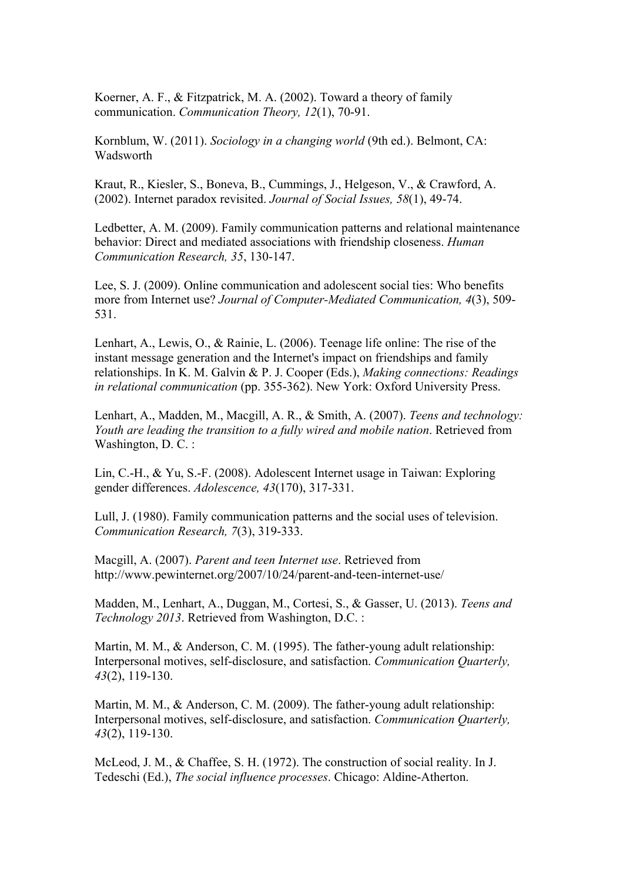Koerner, A. F., & Fitzpatrick, M. A. (2002). Toward a theory of family communication. *Communication Theory, 12*(1), 70-91.

Kornblum, W. (2011). *Sociology in a changing world* (9th ed.). Belmont, CA: Wadsworth

Kraut, R., Kiesler, S., Boneva, B., Cummings, J., Helgeson, V., & Crawford, A. (2002). Internet paradox revisited. *Journal of Social Issues, 58*(1), 49-74.

Ledbetter, A. M. (2009). Family communication patterns and relational maintenance behavior: Direct and mediated associations with friendship closeness. *Human Communication Research, 35*, 130-147.

Lee, S. J. (2009). Online communication and adolescent social ties: Who benefits more from Internet use? *Journal of Computer-Mediated Communication, 4*(3), 509- 531.

Lenhart, A., Lewis, O., & Rainie, L. (2006). Teenage life online: The rise of the instant message generation and the Internet's impact on friendships and family relationships. In K. M. Galvin & P. J. Cooper (Eds.), *Making connections: Readings in relational communication* (pp. 355-362). New York: Oxford University Press.

Lenhart, A., Madden, M., Macgill, A. R., & Smith, A. (2007). *Teens and technology: Youth are leading the transition to a fully wired and mobile nation*. Retrieved from Washington, D. C. :

Lin, C.-H., & Yu, S.-F. (2008). Adolescent Internet usage in Taiwan: Exploring gender differences. *Adolescence, 43*(170), 317-331.

Lull, J. (1980). Family communication patterns and the social uses of television. *Communication Research, 7*(3), 319-333.

Macgill, A. (2007). *Parent and teen Internet use*. Retrieved from http://www.pewinternet.org/2007/10/24/parent-and-teen-internet-use/

Madden, M., Lenhart, A., Duggan, M., Cortesi, S., & Gasser, U. (2013). *Teens and Technology 2013*. Retrieved from Washington, D.C. :

Martin, M. M., & Anderson, C. M. (1995). The father-young adult relationship: Interpersonal motives, self-disclosure, and satisfaction. *Communication Quarterly, 43*(2), 119-130.

Martin, M. M., & Anderson, C. M. (2009). The father-young adult relationship: Interpersonal motives, self-disclosure, and satisfaction. *Communication Quarterly, 43*(2), 119-130.

McLeod, J. M., & Chaffee, S. H. (1972). The construction of social reality. In J. Tedeschi (Ed.), *The social influence processes*. Chicago: Aldine-Atherton.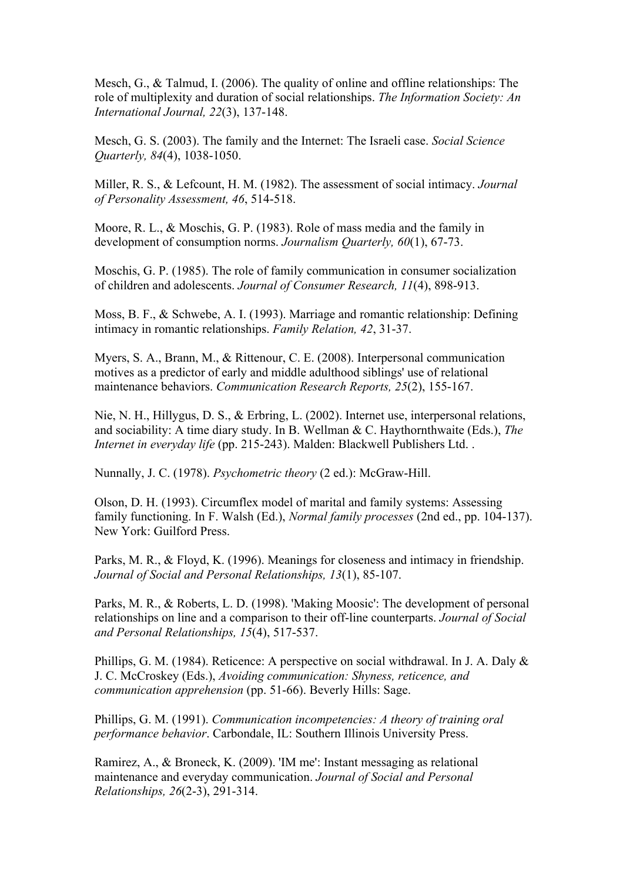Mesch, G., & Talmud, I. (2006). The quality of online and offline relationships: The role of multiplexity and duration of social relationships. *The Information Society: An International Journal, 22*(3), 137-148.

Mesch, G. S. (2003). The family and the Internet: The Israeli case. *Social Science Quarterly, 84*(4), 1038-1050.

Miller, R. S., & Lefcount, H. M. (1982). The assessment of social intimacy. *Journal of Personality Assessment, 46*, 514-518.

Moore, R. L., & Moschis, G. P. (1983). Role of mass media and the family in development of consumption norms. *Journalism Quarterly, 60*(1), 67-73.

Moschis, G. P. (1985). The role of family communication in consumer socialization of children and adolescents. *Journal of Consumer Research, 11*(4), 898-913.

Moss, B. F., & Schwebe, A. I. (1993). Marriage and romantic relationship: Defining intimacy in romantic relationships. *Family Relation, 42*, 31-37.

Myers, S. A., Brann, M., & Rittenour, C. E. (2008). Interpersonal communication motives as a predictor of early and middle adulthood siblings' use of relational maintenance behaviors. *Communication Research Reports, 25*(2), 155-167.

Nie, N. H., Hillygus, D. S., & Erbring, L. (2002). Internet use, interpersonal relations, and sociability: A time diary study. In B. Wellman & C. Haythornthwaite (Eds.), *The Internet in everyday life* (pp. 215-243). Malden: Blackwell Publishers Ltd. .

Nunnally, J. C. (1978). *Psychometric theory* (2 ed.): McGraw-Hill.

Olson, D. H. (1993). Circumflex model of marital and family systems: Assessing family functioning. In F. Walsh (Ed.), *Normal family processes* (2nd ed., pp. 104-137). New York: Guilford Press.

Parks, M. R., & Floyd, K. (1996). Meanings for closeness and intimacy in friendship. *Journal of Social and Personal Relationships, 13*(1), 85-107.

Parks, M. R., & Roberts, L. D. (1998). 'Making Moosic': The development of personal relationships on line and a comparison to their off-line counterparts. *Journal of Social and Personal Relationships, 15*(4), 517-537.

Phillips, G. M. (1984). Reticence: A perspective on social withdrawal. In J. A. Daly & J. C. McCroskey (Eds.), *Avoiding communication: Shyness, reticence, and communication apprehension* (pp. 51-66). Beverly Hills: Sage.

Phillips, G. M. (1991). *Communication incompetencies: A theory of training oral performance behavior*. Carbondale, IL: Southern Illinois University Press.

Ramirez, A., & Broneck, K. (2009). 'IM me': Instant messaging as relational maintenance and everyday communication. *Journal of Social and Personal Relationships, 26*(2-3), 291-314.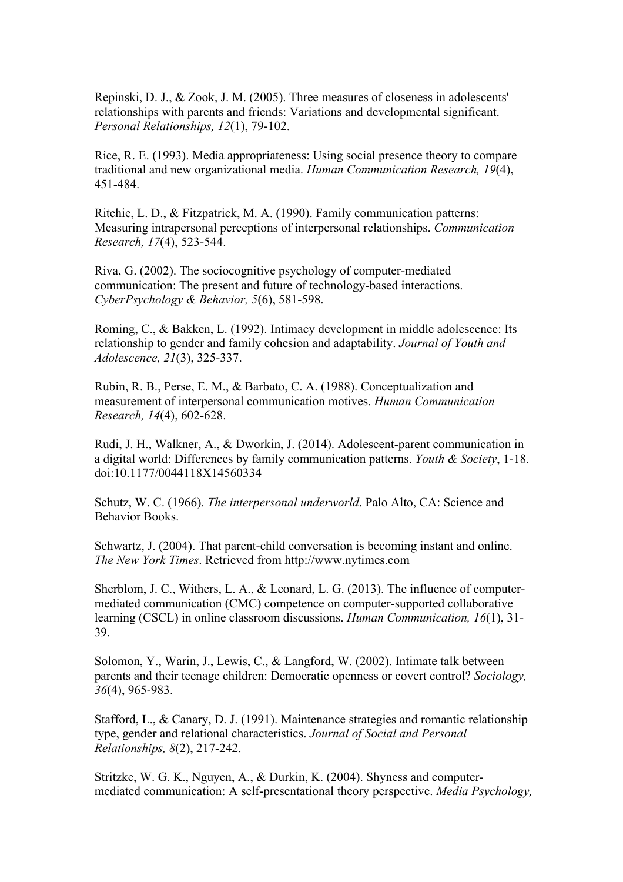Repinski, D. J., & Zook, J. M. (2005). Three measures of closeness in adolescents' relationships with parents and friends: Variations and developmental significant. *Personal Relationships, 12*(1), 79-102.

Rice, R. E. (1993). Media appropriateness: Using social presence theory to compare traditional and new organizational media. *Human Communication Research, 19*(4), 451-484.

Ritchie, L. D., & Fitzpatrick, M. A. (1990). Family communication patterns: Measuring intrapersonal perceptions of interpersonal relationships. *Communication Research, 17*(4), 523-544.

Riva, G. (2002). The sociocognitive psychology of computer-mediated communication: The present and future of technology-based interactions. *CyberPsychology & Behavior, 5*(6), 581-598.

Roming, C., & Bakken, L. (1992). Intimacy development in middle adolescence: Its relationship to gender and family cohesion and adaptability. *Journal of Youth and Adolescence, 21*(3), 325-337.

Rubin, R. B., Perse, E. M., & Barbato, C. A. (1988). Conceptualization and measurement of interpersonal communication motives. *Human Communication Research, 14*(4), 602-628.

Rudi, J. H., Walkner, A., & Dworkin, J. (2014). Adolescent-parent communication in a digital world: Differences by family communication patterns. *Youth & Society*, 1-18. doi:10.1177/0044118X14560334

Schutz, W. C. (1966). *The interpersonal underworld*. Palo Alto, CA: Science and Behavior Books.

Schwartz, J. (2004). That parent-child conversation is becoming instant and online. *The New York Times*. Retrieved from http://www.nytimes.com

Sherblom, J. C., Withers, L. A., & Leonard, L. G. (2013). The influence of computermediated communication (CMC) competence on computer-supported collaborative learning (CSCL) in online classroom discussions. *Human Communication, 16*(1), 31- 39.

Solomon, Y., Warin, J., Lewis, C., & Langford, W. (2002). Intimate talk between parents and their teenage children: Democratic openness or covert control? *Sociology, 36*(4), 965-983.

Stafford, L., & Canary, D. J. (1991). Maintenance strategies and romantic relationship type, gender and relational characteristics. *Journal of Social and Personal Relationships, 8*(2), 217-242.

Stritzke, W. G. K., Nguyen, A., & Durkin, K. (2004). Shyness and computermediated communication: A self-presentational theory perspective. *Media Psychology,*